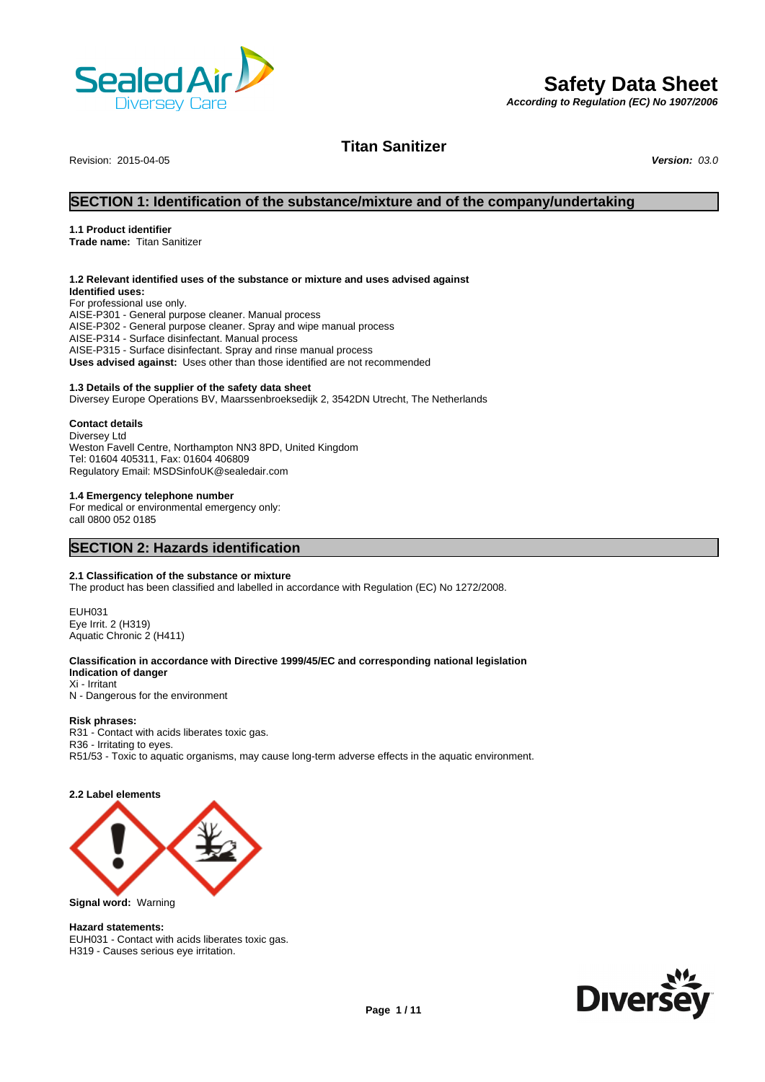

# **Safety Data Sheet**

*According to Regulation (EC) No 1907/2006*

Revision: 2015-04-05 *Version: 03.0*

**Titan Sanitizer**

# **SECTION 1: Identification of the substance/mixture and of the company/undertaking**

# **1.1 Product identifier**

**Trade name:** Titan Sanitizer

# **1.2 Relevant identified uses of the substance or mixture and uses advised against**

**Identified uses:** For professional use only. AISE-P301 - General purpose cleaner. Manual process AISE-P302 - General purpose cleaner. Spray and wipe manual process AISE-P314 - Surface disinfectant. Manual process AISE-P315 - Surface disinfectant. Spray and rinse manual process **Uses advised against:** Uses other than those identified are not recommended

# **1.3 Details of the supplier of the safety data sheet**

Diversey Europe Operations BV, Maarssenbroeksedijk 2, 3542DN Utrecht, The Netherlands

#### **Contact details**

Diversey Ltd Weston Favell Centre, Northampton NN3 8PD, United Kingdom Tel: 01604 405311, Fax: 01604 406809 Regulatory Email: MSDSinfoUK@sealedair.com

# **1.4 Emergency telephone number**

For medical or environmental emergency only: call 0800 052 0185

# **SECTION 2: Hazards identification**

#### **2.1 Classification of the substance or mixture**

The product has been classified and labelled in accordance with Regulation (EC) No 1272/2008.

EUH031 Eye Irrit. 2 (H319) Aquatic Chronic 2 (H411)

# **Classification in accordance with Directive 1999/45/EC and corresponding national legislation**

**Indication of danger** Xi - Irritant N - Dangerous for the environment

#### **Risk phrases:**

R31 - Contact with acids liberates toxic gas. R36 - Irritating to eyes. R51/53 - Toxic to aquatic organisms, may cause long-term adverse effects in the aquatic environment.

# **2.2 Label elements**



**Signal word:** Warning

## **Hazard statements:**

EUH031 - Contact with acids liberates toxic gas. H319 - Causes serious eye irritation.

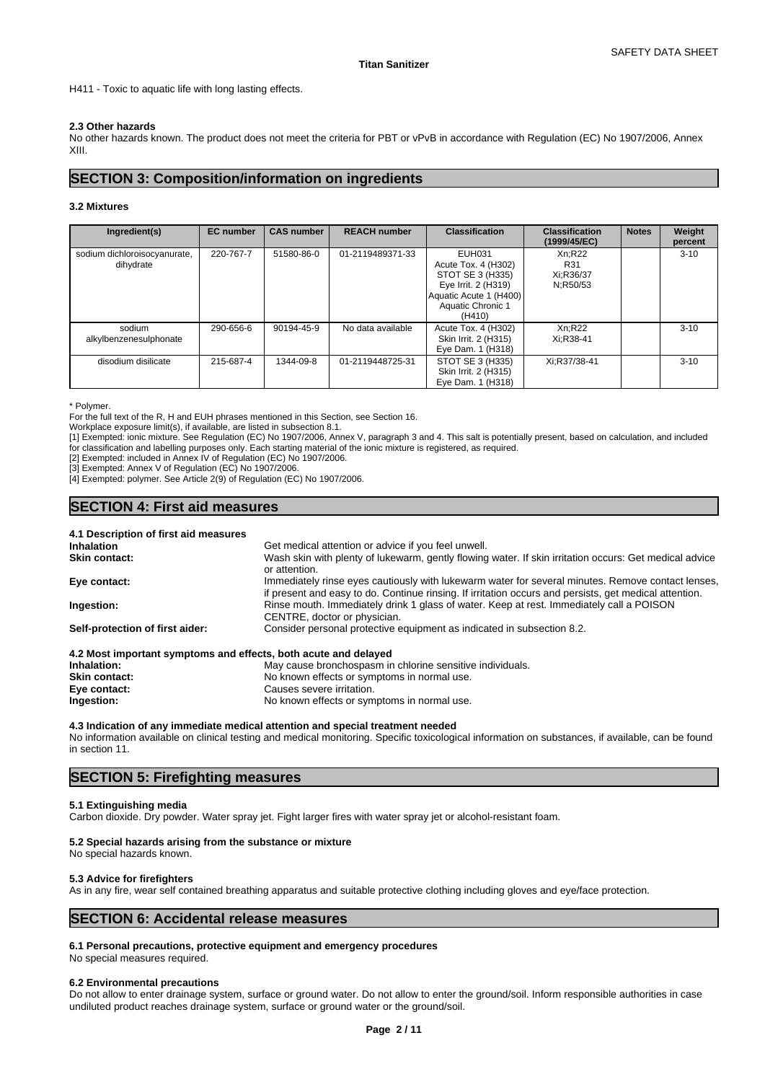H411 - Toxic to aquatic life with long lasting effects.

# **2.3 Other hazards**

No other hazards known. The product does not meet the criteria for PBT or vPvB in accordance with Regulation (EC) No 1907/2006, Annex XIII.

# **SECTION 3: Composition/information on ingredients**

# **3.2 Mixtures**

| Ingredient(s)                             | <b>EC</b> number | <b>CAS number</b> | <b>REACH number</b> | <b>Classification</b>                                                                                                             | <b>Classification</b><br>(1999/45/EC)  | <b>Notes</b> | Weight<br>percent |
|-------------------------------------------|------------------|-------------------|---------------------|-----------------------------------------------------------------------------------------------------------------------------------|----------------------------------------|--------------|-------------------|
| sodium dichloroisocyanurate,<br>dihydrate | 220-767-7        | 51580-86-0        | 01-2119489371-33    | EUH031<br>Acute Tox. 4 (H302)<br>STOT SE 3 (H335)<br>Eye Irrit. 2 (H319)<br>Aquatic Acute 1 (H400)<br>Aquatic Chronic 1<br>(H410) | Xn:R22<br>R31<br>Xi:R36/37<br>N;R50/53 |              | $3 - 10$          |
| sodium<br>alkylbenzenesulphonate          | 290-656-6        | 90194-45-9        | No data available   | Acute Tox. 4 (H302)<br>Skin Irrit. 2 (H315)<br>Eye Dam. 1 (H318)                                                                  | Xn;R22<br>Xi:R38-41                    |              | $3 - 10$          |
| disodium disilicate                       | 215-687-4        | 1344-09-8         | 01-2119448725-31    | STOT SE 3 (H335)<br>Skin Irrit. 2 (H315)<br>Eye Dam. 1 (H318)                                                                     | Xi:R37/38-41                           |              | $3 - 10$          |

\* Polymer.

For the full text of the R, H and EUH phrases mentioned in this Section, see Section 16.

Workplace exposure limit(s), if available, are listed in subsection 8.1.

[1] Exempted: ionic mixture. See Regulation (EC) No 1907/2006, Annex V, paragraph 3 and 4. This salt is potentially present, based on calculation, and included for classification and labelling purposes only. Each starting material of the ionic mixture is registered, as required.

[2] Exempted: included in Annex IV of Regulation (EC) No 1907/2006.

[3] Exempted: Annex V of Regulation (EC) No 1907/2006.

[4] Exempted: polymer. See Article 2(9) of Regulation (EC) No 1907/2006.

# **SECTION 4: First aid measures**

| 4.1 Description of first aid measures                           |                                                                                                                                                                                                             |
|-----------------------------------------------------------------|-------------------------------------------------------------------------------------------------------------------------------------------------------------------------------------------------------------|
| <b>Inhalation</b>                                               | Get medical attention or advice if you feel unwell.                                                                                                                                                         |
| Skin contact:                                                   | Wash skin with plenty of lukewarm, gently flowing water. If skin irritation occurs: Get medical advice<br>or attention.                                                                                     |
| Eye contact:                                                    | Immediately rinse eyes cautiously with lukewarm water for several minutes. Remove contact lenses,<br>if present and easy to do. Continue rinsing. If irritation occurs and persists, get medical attention. |
| Ingestion:                                                      | Rinse mouth. Immediately drink 1 glass of water. Keep at rest. Immediately call a POISON<br>CENTRE, doctor or physician.                                                                                    |
| Self-protection of first aider:                                 | Consider personal protective equipment as indicated in subsection 8.2.                                                                                                                                      |
| 4.2 Most important symptoms and effects, both acute and delayed |                                                                                                                                                                                                             |
| Inhalation:                                                     | May cause bronchospasm in chlorine sensitive individuals.                                                                                                                                                   |
| <b>Skin contact:</b>                                            | No known effects or symptoms in normal use.                                                                                                                                                                 |
| Eye contact:                                                    | Causes severe irritation.                                                                                                                                                                                   |
| Ingestion:                                                      | No known effects or symptoms in normal use.                                                                                                                                                                 |

# **4.3 Indication of any immediate medical attention and special treatment needed**

No information available on clinical testing and medical monitoring. Specific toxicological information on substances, if available, can be found in section 11.

# **SECTION 5: Firefighting measures**

# **5.1 Extinguishing media**

Carbon dioxide. Dry powder. Water spray jet. Fight larger fires with water spray jet or alcohol-resistant foam.

# **5.2 Special hazards arising from the substance or mixture**

No special hazards known.

# **5.3 Advice for firefighters**

As in any fire, wear self contained breathing apparatus and suitable protective clothing including gloves and eye/face protection.

# **SECTION 6: Accidental release measures**

# **6.1 Personal precautions, protective equipment and emergency procedures**

No special measures required.

#### **6.2 Environmental precautions**

Do not allow to enter drainage system, surface or ground water. Do not allow to enter the ground/soil. Inform responsible authorities in case undiluted product reaches drainage system, surface or ground water or the ground/soil.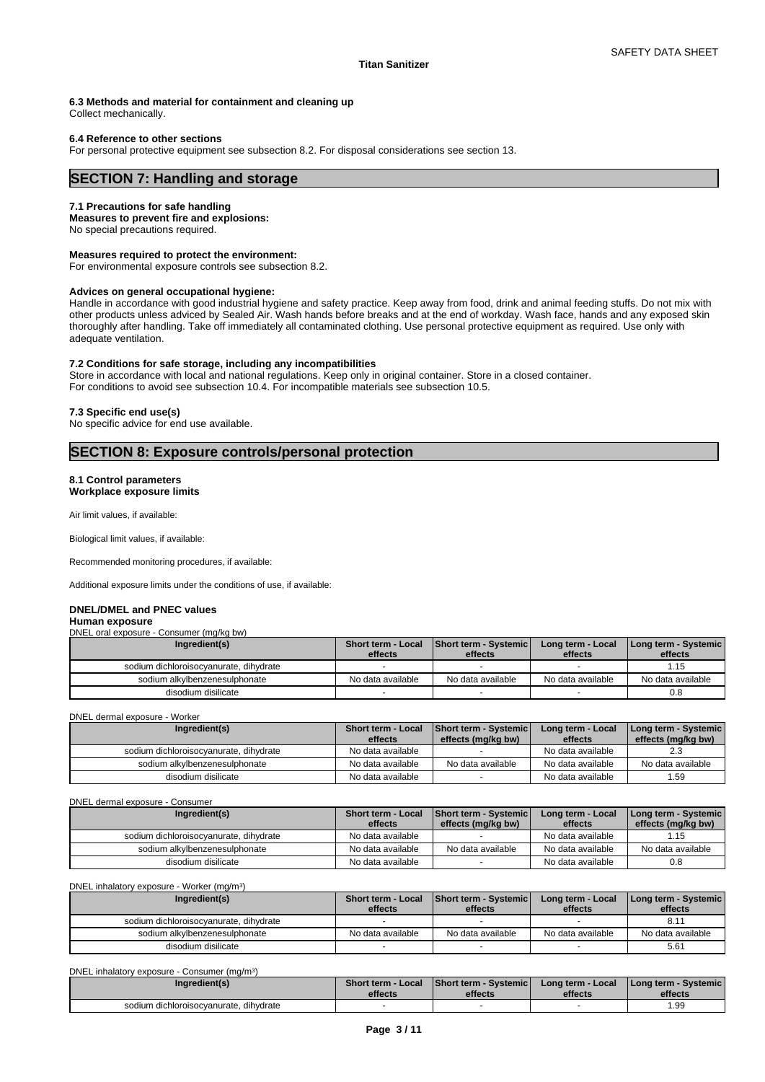**6.3 Methods and material for containment and cleaning up**

Collect mechanically.

#### **6.4 Reference to other sections**

For personal protective equipment see subsection 8.2. For disposal considerations see section 13.

# **SECTION 7: Handling and storage**

#### **7.1 Precautions for safe handling**

**Measures to prevent fire and explosions:**

No special precautions required.

#### **Measures required to protect the environment:**

For environmental exposure controls see subsection 8.2.

#### **Advices on general occupational hygiene:**

Handle in accordance with good industrial hygiene and safety practice. Keep away from food, drink and animal feeding stuffs. Do not mix with other products unless adviced by Sealed Air. Wash hands before breaks and at the end of workday. Wash face, hands and any exposed skin thoroughly after handling. Take off immediately all contaminated clothing. Use personal protective equipment as required. Use only with adequate ventilation.

#### **7.2 Conditions for safe storage, including any incompatibilities**

Store in accordance with local and national regulations. Keep only in original container. Store in a closed container. For conditions to avoid see subsection 10.4. For incompatible materials see subsection 10.5.

#### **7.3 Specific end use(s)**

No specific advice for end use available.

# **SECTION 8: Exposure controls/personal protection**

# **8.1 Control parameters**

**Workplace exposure limits**

Air limit values, if available:

Biological limit values, if available:

Recommended monitoring procedures, if available:

Additional exposure limits under the conditions of use, if available:

#### **DNEL/DMEL and PNEC values Human exposure**

# DNEL oral exposure - Consumer (mg/kg bw)

| Ingredient(s)                          | <b>Short term - Local</b><br>effects | <b>Short term - Systemic</b><br>effects | Long term - Local<br>effects | Long term - Systemic  <br>effects |
|----------------------------------------|--------------------------------------|-----------------------------------------|------------------------------|-----------------------------------|
| sodium dichloroisocyanurate, dihydrate |                                      |                                         |                              | l.15                              |
| sodium alkylbenzenesulphonate          | No data available                    | No data available                       | No data available            | No data available                 |
| disodium disilicate                    |                                      |                                         |                              | 0.8                               |

#### DNEL dermal exposure - Worker

| Ingredient(s)                          | <b>Short term - Local</b> | <b>Short term - Systemic</b> | Long term - Local | Long term - Systemic |
|----------------------------------------|---------------------------|------------------------------|-------------------|----------------------|
|                                        | effects                   | effects (ma/ka bw)           | effects           | effects (mg/kg bw)   |
| sodium dichloroisocvanurate, dihydrate | No data available         |                              | No data available | ں.ء                  |
| sodium alkylbenzenesulphonate          | No data available         | No data available            | No data available | No data available    |
| disodium disilicate                    | No data available         |                              | No data available | . 59                 |

#### DNEL dermal exposure - Consumer

| Ingredient(s)                          | Short term - Local<br>effects | <b>Short term - Systemic</b><br>effects (mg/kg bw) | Long term - Local<br>effects | Long term - Systemic  <br>effects (mg/kg bw) |
|----------------------------------------|-------------------------------|----------------------------------------------------|------------------------------|----------------------------------------------|
| sodium dichloroisocvanurate, dihydrate | No data available             |                                                    | No data available            | .15                                          |
| sodium alkylbenzenesulphonate          | No data available             | No data available                                  | No data available            | No data available                            |
| disodium disilicate                    | No data available             |                                                    | No data available            | 0.8                                          |

#### DNEL inhalatory exposure - Worker (mg/m<sup>3</sup> )

| Ingredient(s)                          | <b>Short term - Local</b><br>effects | <b>Short term - Systemic</b><br>effects | Long term - Local<br>effects | Long term - Systemic  <br>effects |
|----------------------------------------|--------------------------------------|-----------------------------------------|------------------------------|-----------------------------------|
| sodium dichloroisocyanurate, dihydrate |                                      |                                         |                              | 8.1                               |
| sodium alkylbenzenesulphonate          | No data available                    | No data available                       | No data available            | No data available                 |
| disodium disilicate                    |                                      |                                         |                              | 5.61                              |

| DNEL inhalatory exposure - Consumer (mq/m <sup>3</sup> ) |                           |                               |                   |                      |
|----------------------------------------------------------|---------------------------|-------------------------------|-------------------|----------------------|
| Ingredient(s)                                            | <b>Short term - Local</b> | <b>Short term - Systemicl</b> | Long term - Local | Long term - Systemic |
|                                                          | effects                   | effects                       | effects           | effects              |
|                                                          |                           |                               |                   |                      |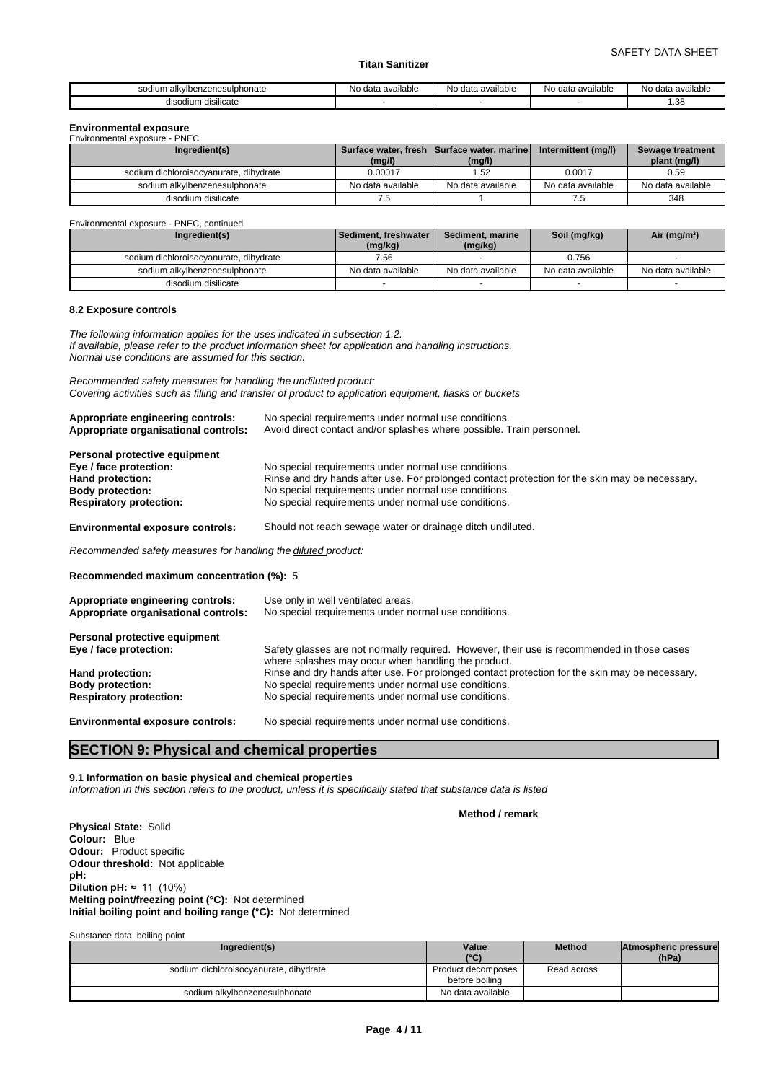| vibenzenesulphonate<br>$c^{\alpha}$<br>$\cdots$ | ^י<br>ı available<br>data<br> | No data available | . .<br>No data available | No data available |
|-------------------------------------------------|-------------------------------|-------------------|--------------------------|-------------------|
| disilicate<br>disoc<br>ш                        |                               |                   |                          | 1.38<br>$-$       |

# **Environmental exposure** Environmental exposure - PNEC

| LINIUIIIIEIKAI CADUSUIC - FINLU<br>Ingredient(s) | (mg/l)            | Surface water, fresh Surface water, marine<br>(mg/l) | Intermittent (mg/l) | Sewage treatment<br>plant (mg/l) |
|--------------------------------------------------|-------------------|------------------------------------------------------|---------------------|----------------------------------|
| sodium dichloroisocyanurate, dihydrate           | 0.00017           | .52                                                  | 0.0017              | 0.59                             |
| sodium alkylbenzenesulphonate                    | No data available | No data available                                    | No data available   | No data available                |
| disodium disilicate                              | 7.5               |                                                      | 7.5                 | 348                              |

| Environmental exposure - PNEC, continued |                                     |                             |                   |                   |
|------------------------------------------|-------------------------------------|-----------------------------|-------------------|-------------------|
| Ingredient(s)                            | l Sediment. freshwater l<br>(mg/kg) | Sediment, marine<br>(mg/kg) | Soil (mg/kg)      | Air ( $mg/m3$ )   |
| sodium dichloroisocyanurate, dihydrate   | 7.56                                |                             | 0.756             |                   |
| sodium alkylbenzenesulphonate            | No data available                   | No data available           | No data available | No data available |
| disodium disilicate                      |                                     |                             |                   |                   |

#### **8.2 Exposure controls**

*The following information applies for the uses indicated in subsection 1.2. If available, please refer to the product information sheet for application and handling instructions. Normal use conditions are assumed for this section.*

*Recommended safety measures for handling the undiluted product: Covering activities such as filling and transfer of product to application equipment, flasks or buckets*

| Appropriate engineering controls:<br>Appropriate organisational controls:                                                                | No special requirements under normal use conditions.<br>Avoid direct contact and/or splashes where possible. Train personnel.                                                                                                                                          |
|------------------------------------------------------------------------------------------------------------------------------------------|------------------------------------------------------------------------------------------------------------------------------------------------------------------------------------------------------------------------------------------------------------------------|
| Personal protective equipment<br>Eye / face protection:<br>Hand protection:<br><b>Body protection:</b><br><b>Respiratory protection:</b> | No special requirements under normal use conditions.<br>Rinse and dry hands after use. For prolonged contact protection for the skin may be necessary.<br>No special requirements under normal use conditions.<br>No special requirements under normal use conditions. |
| <b>Environmental exposure controls:</b>                                                                                                  | Should not reach sewage water or drainage ditch undiluted.                                                                                                                                                                                                             |
| Recommended safety measures for handling the diluted product:                                                                            |                                                                                                                                                                                                                                                                        |

**Recommended maximum concentration (%):** 5

| Appropriate engineering controls:<br>Appropriate organisational controls: | Use only in well ventilated areas.<br>No special requirements under normal use conditions.                                                        |
|---------------------------------------------------------------------------|---------------------------------------------------------------------------------------------------------------------------------------------------|
| Personal protective equipment                                             |                                                                                                                                                   |
| Eye / face protection:                                                    | Safety glasses are not normally required. However, their use is recommended in those cases<br>where splashes may occur when handling the product. |
| Hand protection:                                                          | Rinse and dry hands after use. For prolonged contact protection for the skin may be necessary.                                                    |
| <b>Body protection:</b>                                                   | No special requirements under normal use conditions.                                                                                              |
| <b>Respiratory protection:</b>                                            | No special requirements under normal use conditions.                                                                                              |
| <b>Environmental exposure controls:</b>                                   | No special requirements under normal use conditions.                                                                                              |

# **SECTION 9: Physical and chemical properties**

## **9.1 Information on basic physical and chemical properties**

*Information in this section refers to the product, unless it is specifically stated that substance data is listed*

#### **Method / remark**

**Physical State:** Solid **Colour:** Blue **Odour:** Product specific **Odour threshold:** Not applicable **pH: Dilution pH:**  $\approx$  11 (10%) **Melting point/freezing point (°C):** Not determined **Initial boiling point and boiling range (°C):** Not determined

#### Substance data, boiling point

| Ingredient(s)                          | Value                                | <b>Method</b> | Atmospheric pressure |  |
|----------------------------------------|--------------------------------------|---------------|----------------------|--|
|                                        | (°C)                                 |               | (hPa)                |  |
| sodium dichloroisocyanurate, dihydrate | Product decomposes<br>before boiling | Read across   |                      |  |
| sodium alkylbenzenesulphonate          | No data available                    |               |                      |  |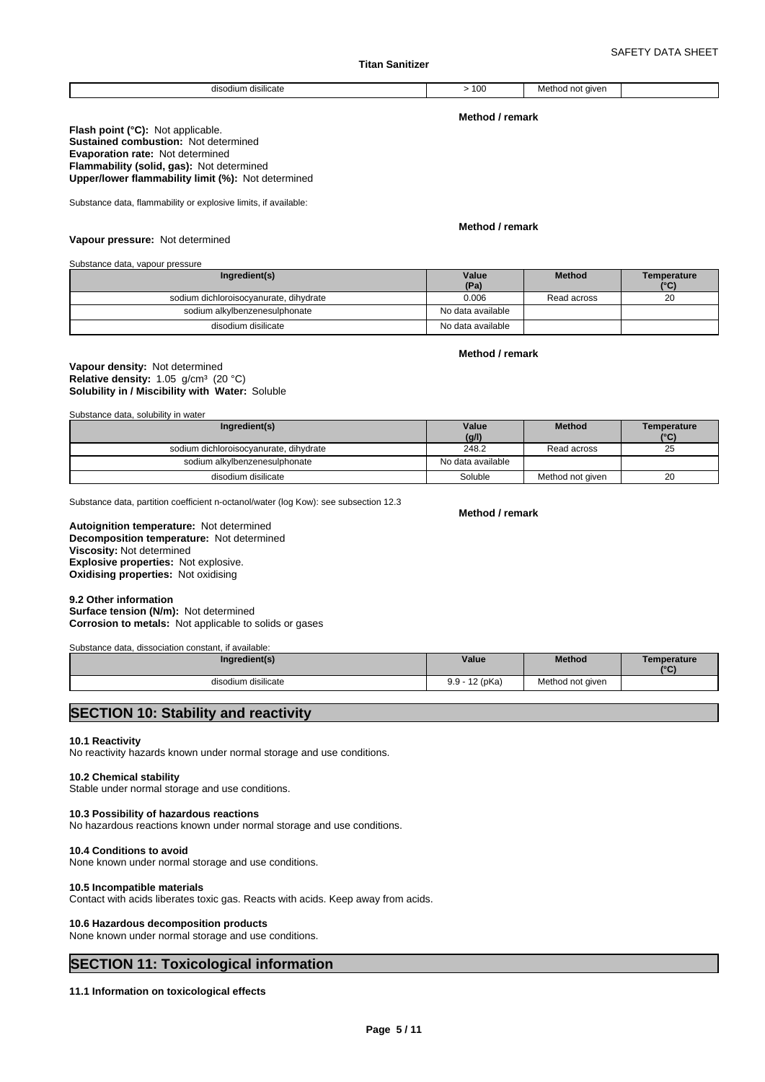#### disodium disilicate  $\vert$  > 100 Method not given

**Method / remark**

**Flash point (°C):** Not applicable. **Sustained combustion:** Not determined **Evaporation rate:** Not determined **Flammability (solid, gas):** Not determined **Upper/lower flammability limit (%):** Not determined

Substance data, flammability or explosive limits, if available:

#### **Method / remark**

**Vapour pressure:** Not determined

Substance data, vapour pressure

| Ingredient(s)                          | Value<br>(Pa)     | <b>Method</b> | Temperature<br>$(^\circ \text{C})$ |
|----------------------------------------|-------------------|---------------|------------------------------------|
| sodium dichloroisocyanurate, dihydrate | 0.006             | Read across   | 20                                 |
| sodium alkylbenzenesulphonate          | No data available |               |                                    |
| disodium disilicate                    | No data available |               |                                    |

# **Method / remark**

# **Solubility in / Miscibility with Water:** Soluble **Vapour density:** Not determined **Relative density:** 1.05 g/cm<sup>3</sup> (20 °C)

Substance data, solubility in water

| Ingredient(s)                          | Value             | <b>Method</b>    | Temperature |
|----------------------------------------|-------------------|------------------|-------------|
|                                        | (g/l)             |                  | (°C)        |
| sodium dichloroisocyanurate, dihydrate | 248.2             | Read across      | 25          |
| sodium alkvlbenzenesulphonate          | No data available |                  |             |
| disodium disilicate                    | Soluble           | Method not aiven | 20          |

Substance data, partition coefficient n-octanol/water (log Kow): see subsection 12.3

# **Decomposition temperature:** Not determined **Autoignition temperature:** Not determined **Viscosity:** Not determined **Explosive properties:** Not explosive. **Oxidising properties:** Not oxidising

#### **9.2 Other information**

**Surface tension (N/m):** Not determined **Corrosion to metals:** Not applicable to solids or gases

Substance data, dissociation constant, if available:

| Ingredient(s)       | Value                  | <b>Method</b>    | Temperature<br>10(1)<br>$\sim$ |
|---------------------|------------------------|------------------|--------------------------------|
| disodium disilicate | $-12$ (pKa)<br>$9.9 -$ | Method not given |                                |

# **SECTION 10: Stability and reactivity**

# **10.1 Reactivity**

No reactivity hazards known under normal storage and use conditions.

# **10.2 Chemical stability**

Stable under normal storage and use conditions.

# **10.3 Possibility of hazardous reactions**

No hazardous reactions known under normal storage and use conditions.

# **10.4 Conditions to avoid**

None known under normal storage and use conditions.

#### **10.5 Incompatible materials**

Contact with acids liberates toxic gas. Reacts with acids. Keep away from acids.

# **10.6 Hazardous decomposition products**

None known under normal storage and use conditions.

# **SECTION 11: Toxicological information**

# **11.1 Information on toxicological effects**

**Method / remark**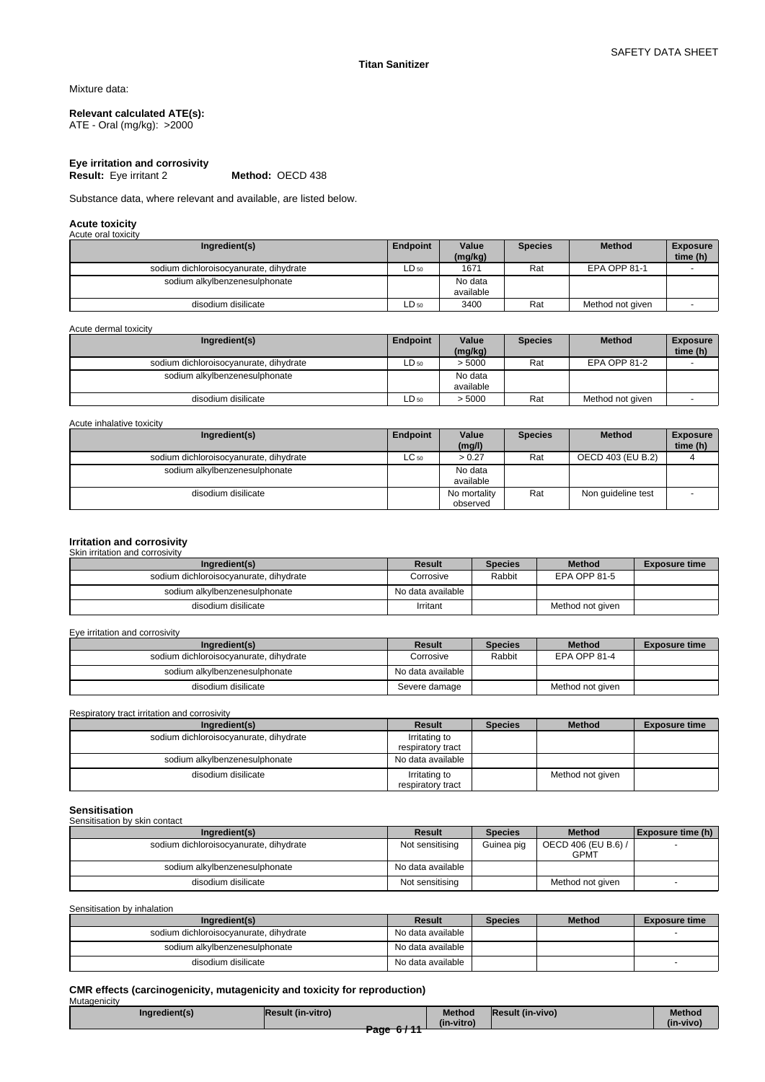Mixture data:

# **Relevant calculated ATE(s):**

ATE - Oral (mg/kg): >2000

**Eye irritation and corrosivity Result:** Eye irritant 2

Substance data, where relevant and available, are listed below.

#### **Acute toxicity** Acute oral toxi

| AVUUT VIII IVAIVIIV                    |           |                      |                |                     |                             |
|----------------------------------------|-----------|----------------------|----------------|---------------------|-----------------------------|
| Ingredient(s)                          | Endpoint  | Value<br>(mg/kg)     | <b>Species</b> | <b>Method</b>       | <b>Exposure</b><br>time (h) |
| sodium dichloroisocyanurate, dihydrate | $LD_{50}$ | 1671                 | Rat            | <b>EPA OPP 81-1</b> |                             |
| sodium alkylbenzenesulphonate          |           | No data<br>available |                |                     |                             |
| disodium disilicate                    | $LD_{50}$ | 3400                 | Rat            | Method not given    |                             |

Acute dermal toxicity

| Ingredient(s)                          | Endpoint  | Value<br>(mg/kg)     | <b>Species</b> | <b>Method</b>       | <b>Exposure</b><br>time (h) |
|----------------------------------------|-----------|----------------------|----------------|---------------------|-----------------------------|
| sodium dichloroisocyanurate, dihydrate | $LD_{50}$ | > 5000               | Rat            | <b>EPA OPP 81-2</b> |                             |
| sodium alkylbenzenesulphonate          |           | No data<br>available |                |                     |                             |
| disodium disilicate                    | ∟D 50     | > 5000               | Rat            | Method not given    |                             |

Acute inhalative toxicity

| Ingredient(s)                          | Endpoint  | Value        | <b>Species</b> | <b>Method</b>      | <b>Exposure</b> |
|----------------------------------------|-----------|--------------|----------------|--------------------|-----------------|
|                                        |           | (mg/l)       |                |                    | time (h)        |
| sodium dichloroisocyanurate, dihydrate | $LC_{50}$ | > 0.27       | Rat            | OECD 403 (EU B.2)  |                 |
| sodium alkylbenzenesulphonate          |           | No data      |                |                    |                 |
|                                        |           | available    |                |                    |                 |
| disodium disilicate                    |           | No mortality | Rat            | Non quideline test |                 |
|                                        |           | observed     |                |                    |                 |

# **Irritation and corrosivity**

# Skin irritation and corrosivity

| Ingredient(s)                          | Result            | <b>Species</b> | <b>Method</b>    | <b>Exposure time</b> |
|----------------------------------------|-------------------|----------------|------------------|----------------------|
| sodium dichloroisocyanurate, dihydrate | Corrosive         | Rabbit         | EPA OPP 81-5     |                      |
| sodium alkylbenzenesulphonate          | No data available |                |                  |                      |
| disodium disilicate                    | Irritant          |                | Method not given |                      |

Eye irritation and corrosivity

| Ingredient(s)                          | Result            | <b>Species</b> | <b>Method</b>    | <b>Exposure time</b> |
|----------------------------------------|-------------------|----------------|------------------|----------------------|
| sodium dichloroisocvanurate, dihydrate | Corrosive         | Rabbit         | EPA OPP 81-4     |                      |
| sodium alkylbenzenesulphonate          | No data available |                |                  |                      |
| disodium disilicate                    | Severe damage     |                | Method not given |                      |

Respiratory tract irritation and corrosivity

| Ingredient(s)                          | Result                             | <b>Species</b> | <b>Method</b>    | <b>Exposure time</b> |
|----------------------------------------|------------------------------------|----------------|------------------|----------------------|
| sodium dichloroisocyanurate, dihydrate | Irritating to                      |                |                  |                      |
|                                        | respiratory tract                  |                |                  |                      |
| sodium alkylbenzenesulphonate          | No data available                  |                |                  |                      |
| disodium disilicate                    | Irritating to<br>respiratory tract |                | Method not given |                      |

**Sensitisation** Sensitisation by skin contact

| <b>CONCRETE IS A CITY CONTROL</b>      |                   |                |                                    |                          |  |  |
|----------------------------------------|-------------------|----------------|------------------------------------|--------------------------|--|--|
| Ingredient(s)                          | Result            | <b>Species</b> | <b>Method</b>                      | Exposure time (h)        |  |  |
| sodium dichloroisocyanurate, dihydrate | Not sensitising   | Guinea pig     | OECD 406 (EU B.6) /<br><b>GPMT</b> |                          |  |  |
| sodium alkylbenzenesulphonate          | No data available |                |                                    |                          |  |  |
| disodium disilicate                    | Not sensitising   |                | Method not given                   | $\overline{\phantom{0}}$ |  |  |

Sensitisation by inhalation

| Ingredient(s)                          | Result            | <b>Species</b> | <b>Method</b> | <b>Exposure time</b> |
|----------------------------------------|-------------------|----------------|---------------|----------------------|
| sodium dichloroisocyanurate, dihydrate | No data available |                |               |                      |
| sodium alkylbenzenesulphonate          | No data available |                |               |                      |
| disodium disilicate                    | No data available |                |               |                      |

# **CMR effects (carcinogenicity, mutagenicity and toxicity for reproduction)**

| Mutagenicity |               |                          |                             |                  |                     |
|--------------|---------------|--------------------------|-----------------------------|------------------|---------------------|
|              | Inaredient(s) | <b>Result (in-vitro)</b> | <b>Method</b><br>(in-vitro) | Result (in-vivo) | Method<br>(in-vivo) |
|              |               | لممتم<br>Page 6/11       |                             |                  |                     |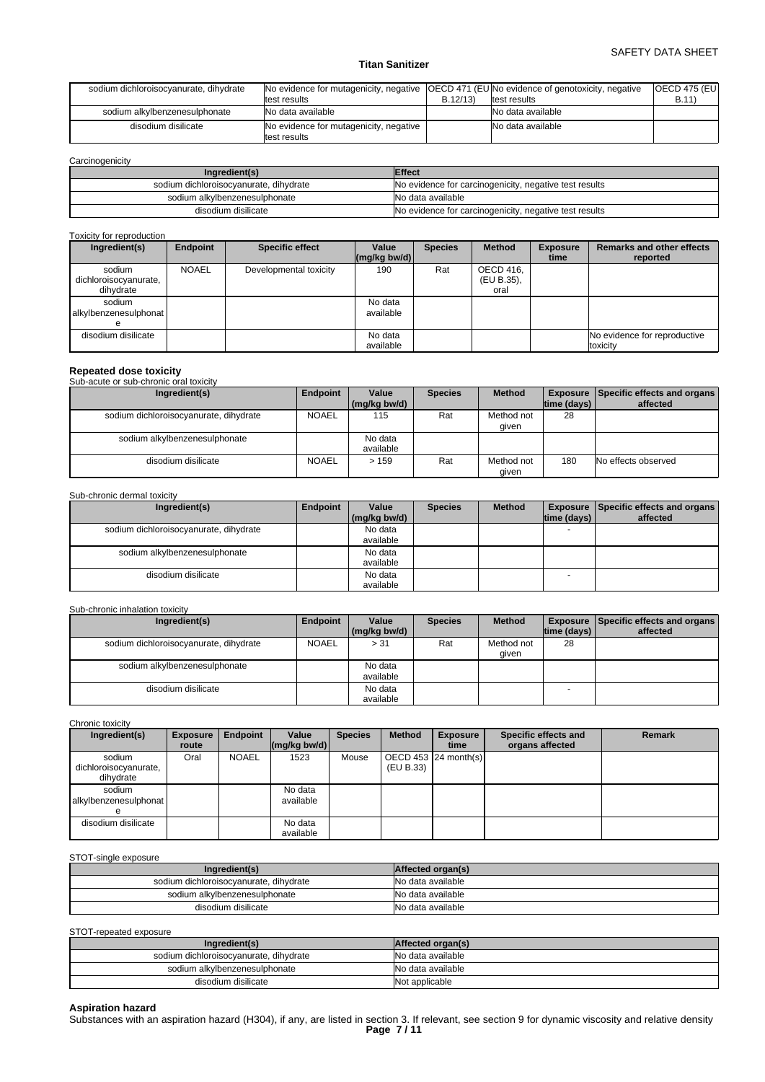# SAFETY DATA SHEET

# **Titan Sanitizer**

| sodium dichloroisocyanurate, dihydrate | No evidence for mutagenicity, negative (OECD 471 (EU No evidence of genotoxicity, negative |         |                   | <b>OECD 475 (EUI</b> |  |
|----------------------------------------|--------------------------------------------------------------------------------------------|---------|-------------------|----------------------|--|
|                                        | test results                                                                               | B.12/13 | test results      | B.11)                |  |
| sodium alkylbenzenesulphonate          | No data available                                                                          |         | No data available |                      |  |
| disodium disilicate                    | No evidence for mutagenicity, negative<br>test results                                     |         | No data available |                      |  |

**Carcinogenicity** 

| Ingredient(s)                          | <b>Effect</b>                                          |
|----------------------------------------|--------------------------------------------------------|
| sodium dichloroisocyanurate, dihydrate | No evidence for carcinogenicity, negative test results |
| sodium alkylbenzenesulphonate          | No data available                                      |
| disodium disilicate                    | No evidence for carcinogenicity, negative test results |

# Toxicity for reproduction

| Ingredient(s)                                | Endpoint     | <b>Specific effect</b> | Value<br>$\left \frac{\text{mg}}{\text{kg}}\right $ (mg/kg bw/d) | <b>Species</b> | <b>Method</b>                   | <b>Exposure</b><br>time | <b>Remarks and other effects</b><br>reported |
|----------------------------------------------|--------------|------------------------|------------------------------------------------------------------|----------------|---------------------------------|-------------------------|----------------------------------------------|
| sodium<br>dichloroisocyanurate,<br>dihvdrate | <b>NOAEL</b> | Developmental toxicity | 190                                                              | Rat            | OECD 416,<br>(EU B.35),<br>oral |                         |                                              |
| sodium<br>alkylbenzenesulphonat              |              |                        | No data<br>available                                             |                |                                 |                         |                                              |
| disodium disilicate                          |              |                        | No data<br>available                                             |                |                                 |                         | No evidence for reproductive<br>toxicity     |

# **Repeated dose toxicity** Sub-acute or sub-chronic oral toxicity

| <u>UUD QUULU UI JUD UIIIUIIIU UIUI IUXIUIIV</u> |              |                      |                |                     |                    |                                                 |
|-------------------------------------------------|--------------|----------------------|----------------|---------------------|--------------------|-------------------------------------------------|
| Ingredient(s)                                   | Endpoint     | Value                | <b>Species</b> | <b>Method</b>       |                    | <b>Exposure   Specific effects and organs  </b> |
|                                                 |              | (mg/kg bw/d)         |                |                     | $ time$ (days) $ $ | affected                                        |
| sodium dichloroisocyanurate, dihydrate          | <b>NOAEL</b> | 115                  | Rat            | Method not<br>qiven | 28                 |                                                 |
| sodium alkylbenzenesulphonate                   |              | No data<br>available |                |                     |                    |                                                 |
| disodium disilicate                             | <b>NOAEL</b> | >159                 | Rat            | Method not<br>given | 180                | No effects observed                             |

#### Sub-chronic dermal toxicity

| Ingredient(s)                          | Endpoint | Value        | <b>Species</b> | <b>Method</b> |                    | Exposure Specific effects and organs |
|----------------------------------------|----------|--------------|----------------|---------------|--------------------|--------------------------------------|
|                                        |          | (mg/kg bw/d) |                |               | $ time$ (days) $ $ | affected                             |
| sodium dichloroisocyanurate, dihydrate |          | No data      |                |               |                    |                                      |
|                                        |          | available    |                |               |                    |                                      |
| sodium alkylbenzenesulphonate          |          | No data      |                |               |                    |                                      |
|                                        |          | available    |                |               |                    |                                      |
| disodium disilicate                    |          | No data      |                |               |                    |                                      |
|                                        |          | available    |                |               |                    |                                      |

#### Sub-chronic inhalation toxicity

| Ingredient(s)                          | Endpoint     | Value        | <b>Species</b> | <b>Method</b> |             | <b>Exposure   Specific effects and organs  </b><br>affected |
|----------------------------------------|--------------|--------------|----------------|---------------|-------------|-------------------------------------------------------------|
|                                        |              | (mg/kg bw/d) |                |               | time (days) |                                                             |
| sodium dichloroisocyanurate, dihydrate | <b>NOAEL</b> | > 31         | Rat            | Method not    | 28          |                                                             |
|                                        |              |              |                | given         |             |                                                             |
|                                        |              |              |                |               |             |                                                             |
| sodium alkylbenzenesulphonate          |              | No data      |                |               |             |                                                             |
|                                        |              | available    |                |               |             |                                                             |
| disodium disilicate                    |              | No data      |                |               |             |                                                             |
|                                        |              | available    |                |               |             |                                                             |

Chronic toxicity

| Ingredient(s)                                | <b>Exposure</b><br>route | <b>Endpoint</b> | Value<br>$\lfloor (mq/kg) \cdot (md) \rfloor$ | <b>Species</b> | <b>Method</b> | <b>Exposure</b><br>time | Specific effects and<br>organs affected | <b>Remark</b> |
|----------------------------------------------|--------------------------|-----------------|-----------------------------------------------|----------------|---------------|-------------------------|-----------------------------------------|---------------|
| sodium<br>dichloroisocyanurate,<br>dihydrate | Oral                     | <b>NOAEL</b>    | 1523                                          | Mouse          | (EU B.33)     | OECD 453 $ 24$ month(s) |                                         |               |
| sodium<br>alkylbenzenesulphonat              |                          |                 | No data<br>available                          |                |               |                         |                                         |               |
| disodium disilicate                          |                          |                 | No data<br>available                          |                |               |                         |                                         |               |

#### STOT-single exposure

| Ingredient(s)                          | Affected organ(s) |
|----------------------------------------|-------------------|
| sodium dichloroisocyanurate, dihydrate | No data available |
| sodium alkylbenzenesulphonate          | No data available |
| disodium disilicate                    | No data available |

STOT-repeated exposure

| Ingredient(s)                          | Affected organ(s) |
|----------------------------------------|-------------------|
| sodium dichloroisocyanurate, dihydrate | No data available |
| sodium alkylbenzenesulphonate          | No data available |
| disodium disilicate                    | Not applicable    |

**Aspiration hazard**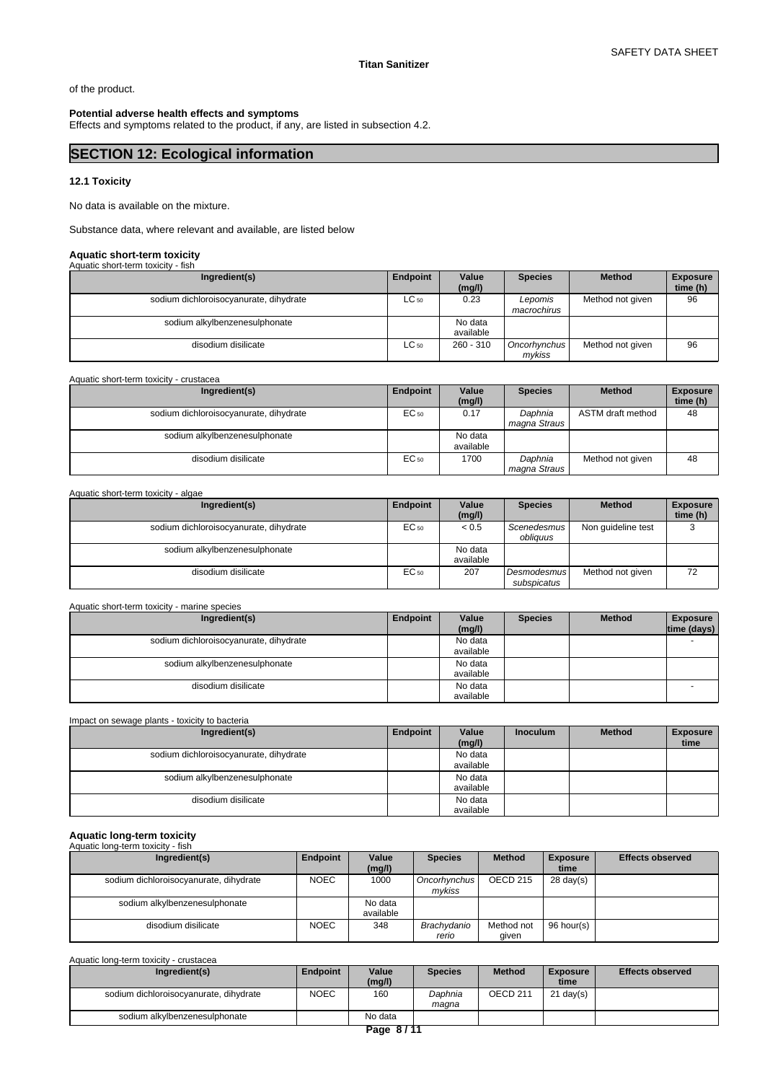of the product.

# **Potential adverse health effects and symptoms**

Effects and symptoms related to the product, if any, are listed in subsection 4.2.

# **SECTION 12: Ecological information**

# **12.1 Toxicity**

No data is available on the mixture.

Substance data, where relevant and available, are listed below

# **Aquatic short-term toxicity**

| Aquatic short-term toxicity - fish     |           |                      |                        |                  |                             |
|----------------------------------------|-----------|----------------------|------------------------|------------------|-----------------------------|
| Ingredient(s)                          | Endpoint  | Value<br>(mg/l)      | <b>Species</b>         | <b>Method</b>    | <b>Exposure</b><br>time (h) |
| sodium dichloroisocyanurate, dihydrate | $LC_{50}$ | 0.23                 | Lepomis<br>macrochirus | Method not given | 96                          |
| sodium alkylbenzenesulphonate          |           | No data<br>available |                        |                  |                             |
| disodium disilicate                    | $LC_{50}$ | $260 - 310$          | Oncorhynchus<br>mykiss | Method not given | 96                          |

Aquatic short-term toxicity - crustacea

| Ingredient(s)                          | Endpoint | Value     | <b>Species</b> | <b>Method</b>     | <b>Exposure</b> |
|----------------------------------------|----------|-----------|----------------|-------------------|-----------------|
|                                        |          | (mg/l)    |                |                   | time (h)        |
| sodium dichloroisocyanurate, dihydrate | EC 50    | 0.17      | Daphnia        | ASTM draft method | 48              |
|                                        |          |           | magna Straus   |                   |                 |
| sodium alkylbenzenesulphonate          |          | No data   |                |                   |                 |
|                                        |          | available |                |                   |                 |
| disodium disilicate                    | EC 50    | 1700      | Daphnia        | Method not given  | 48              |
|                                        |          |           | magna Straus   |                   |                 |

Aquatic short-term toxicity - algae

| Ingredient(s)                          | Endpoint | Value<br>(mg/l)      | <b>Species</b>             | <b>Method</b>      | <b>Exposure</b><br>time (h) |
|----------------------------------------|----------|----------------------|----------------------------|--------------------|-----------------------------|
| sodium dichloroisocyanurate, dihydrate | EC 50    | < 0.5                | Scenedesmus I<br>obliguus  | Non guideline test |                             |
| sodium alkylbenzenesulphonate          |          | No data<br>available |                            |                    |                             |
| disodium disilicate                    | EC 50    | 207                  | Desmodesmus<br>subspicatus | Method not given   | 72                          |

| Aquatic short-term toxicity - marine species |          |                      |                |               |                                |
|----------------------------------------------|----------|----------------------|----------------|---------------|--------------------------------|
| Ingredient(s)                                | Endpoint | Value<br>(mg/l)      | <b>Species</b> | <b>Method</b> | <b>Exposure</b><br>time (days) |
| sodium dichloroisocyanurate, dihydrate       |          | No data<br>available |                |               |                                |
| sodium alkylbenzenesulphonate                |          | No data<br>available |                |               |                                |
| disodium disilicate                          |          | No data<br>available |                |               |                                |

# Impact on sewage plants - toxicity to bacteria

| Ingredient(s)                          | Endpoint | Value<br>(mg/l) | <b>Inoculum</b> | <b>Method</b> | <b>Exposure</b><br>time |
|----------------------------------------|----------|-----------------|-----------------|---------------|-------------------------|
| sodium dichloroisocyanurate, dihydrate |          | No data         |                 |               |                         |
|                                        |          | available       |                 |               |                         |
| sodium alkylbenzenesulphonate          |          | No data         |                 |               |                         |
|                                        |          | available       |                 |               |                         |
| disodium disilicate                    |          | No data         |                 |               |                         |
|                                        |          | available       |                 |               |                         |

#### **Aquatic long-term toxicity** Aquatic long-term toxicity - fish

| Ingredient(s)                          | Endpoint    | Value<br>(mg/l)      | <b>Species</b>         | <b>Method</b>       | <b>Exposure</b><br>time | <b>Effects observed</b> |
|----------------------------------------|-------------|----------------------|------------------------|---------------------|-------------------------|-------------------------|
| sodium dichloroisocyanurate, dihydrate | <b>NOEC</b> | 1000                 | Oncorhynchus<br>mvkiss | OECD 215            | $28 \text{ day}(s)$     |                         |
| sodium alkylbenzenesulphonate          |             | No data<br>available |                        |                     |                         |                         |
| disodium disilicate                    | <b>NOEC</b> | 348                  | Brachvdanio<br>rerio   | Method not<br>aiven | 96 hour(s)              |                         |

Aquatic long-term toxicity - crustacea

| Endpoint    | Value<br>(mg/l) | <b>Species</b> | <b>Method</b>       | <b>Exposure</b><br>time | <b>Effects observed</b> |
|-------------|-----------------|----------------|---------------------|-------------------------|-------------------------|
| <b>NOEC</b> | 160             | Daphnia        | OECD <sub>211</sub> | 21 day(s)               |                         |
|             |                 | maana          |                     |                         |                         |
|             | No data         |                |                     |                         |                         |
|             |                 |                | $P_{200}$ $R_{144}$ |                         |                         |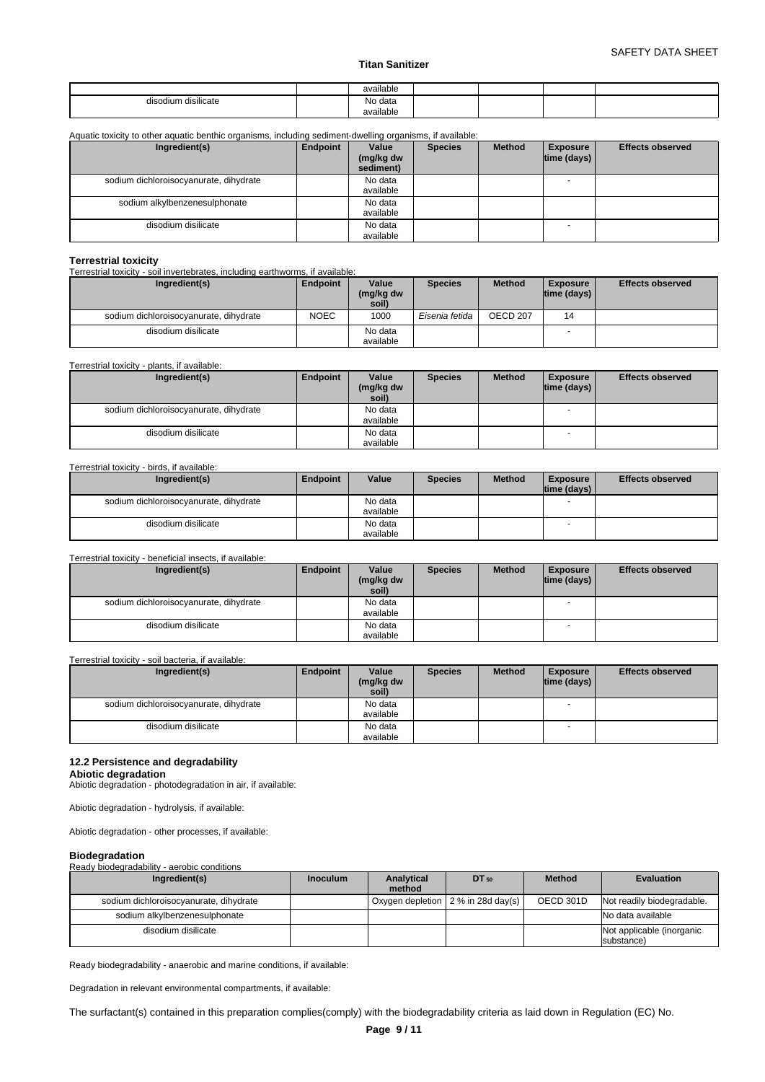|                        | available            |  |  |
|------------------------|----------------------|--|--|
| disilicate<br>disodium | No data<br>available |  |  |

# Aquatic toxicity to other aquatic benthic organisms, including sediment-dwelling organisms, if available:

| Ingredient(s)                          | Endpoint | Value<br>(mg/kg dw<br>sediment) | <b>Species</b> | <b>Method</b> | <b>Exposure</b><br> time (days) | <b>Effects observed</b> |
|----------------------------------------|----------|---------------------------------|----------------|---------------|---------------------------------|-------------------------|
| sodium dichloroisocyanurate, dihydrate |          | No data<br>available            |                |               |                                 |                         |
| sodium alkylbenzenesulphonate          |          | No data<br>available            |                |               |                                 |                         |
| disodium disilicate                    |          | No data<br>available            |                |               |                                 |                         |

**Terrestrial toxicity** Terrestrial toxicity - soil invertebrates, including earthworms, if available:

| Ingredient(s)                          | Endpoint    | Value<br>(mg/kg dw<br>soil) | <b>Species</b> | <b>Method</b>   | <b>Exposure</b><br>$ time$ (days) $ $ | <b>Effects observed</b> |
|----------------------------------------|-------------|-----------------------------|----------------|-----------------|---------------------------------------|-------------------------|
| sodium dichloroisocyanurate, dihydrate | <b>NOEC</b> | 1000                        | Eisenia fetida | <b>OECD 207</b> | 14                                    |                         |
| disodium disilicate                    |             | No data<br>available        |                |                 |                                       |                         |

## Terrestrial toxicity - plants, if available:

| Ingredient(s)                          | Endpoint | Value     | <b>Species</b> | <b>Method</b> | <b>Exposure</b>          | <b>Effects observed</b> |
|----------------------------------------|----------|-----------|----------------|---------------|--------------------------|-------------------------|
|                                        |          | (mg/kg dw |                |               | $ time$ (days) $ $       |                         |
|                                        |          | soil)     |                |               |                          |                         |
| sodium dichloroisocyanurate, dihydrate |          | No data   |                |               | $\overline{\phantom{a}}$ |                         |
|                                        |          | available |                |               |                          |                         |
| disodium disilicate                    |          | No data   |                |               | $\overline{\phantom{0}}$ |                         |
|                                        |          | available |                |               |                          |                         |

#### Terrestrial toxicity - birds, if available:

| Ingredient(s)                          | Endpoint | Value                | <b>Species</b> | <b>Method</b> | <b>Exposure</b><br>time (days) | <b>Effects observed</b> |
|----------------------------------------|----------|----------------------|----------------|---------------|--------------------------------|-------------------------|
| sodium dichloroisocyanurate, dihydrate |          | No data<br>available |                |               | . .                            |                         |
| disodium disilicate                    |          | No data<br>available |                |               | $\overline{\phantom{a}}$       |                         |

#### Terrestrial toxicity - beneficial insects, if available:

| Ingredient(s)                          | Endpoint | Value<br>(mg/kg dw<br>soil) | <b>Species</b> | <b>Method</b> | <b>Exposure</b><br>$ time$ (days) $ $ | <b>Effects observed</b> |
|----------------------------------------|----------|-----------------------------|----------------|---------------|---------------------------------------|-------------------------|
| sodium dichloroisocyanurate, dihydrate |          | No data                     |                |               | $\overline{\phantom{a}}$              |                         |
|                                        |          | available                   |                |               |                                       |                         |
| disodium disilicate                    |          | No data                     |                |               | $\overline{\phantom{a}}$              |                         |
|                                        |          | available                   |                |               |                                       |                         |

#### Terrestrial toxicity - soil bacteria, if available:

| Ingredient(s)                          | Endpoint | Value              | <b>Species</b> | <b>Method</b> | <b>Exposure</b>          | <b>Effects observed</b> |
|----------------------------------------|----------|--------------------|----------------|---------------|--------------------------|-------------------------|
|                                        |          | (mg/kg dw<br>soil) |                |               | time (days)              |                         |
|                                        |          |                    |                |               |                          |                         |
| sodium dichloroisocyanurate, dihydrate |          | No data            |                |               | $\overline{\phantom{a}}$ |                         |
|                                        |          | available          |                |               |                          |                         |
| disodium disilicate                    |          | No data            |                |               |                          |                         |
|                                        |          | available          |                |               |                          |                         |

# **12.2 Persistence and degradability**

#### **Abiotic degradation**

Abiotic degradation - photodegradation in air, if available:

Abiotic degradation - hydrolysis, if available:

Abiotic degradation - other processes, if available:

## **Biodegradation**

Ready biodegradability - aerobic conditions

| Ingredient(s)                          | <b>Inoculum</b> | Analytical<br>method | $DT_{50}$                          | <b>Method</b> | <b>Evaluation</b>                       |
|----------------------------------------|-----------------|----------------------|------------------------------------|---------------|-----------------------------------------|
| sodium dichloroisocyanurate, dihydrate |                 |                      | Oxygen depletion 2 % in 28d day(s) | OECD 301D     | Not readily biodegradable.              |
| sodium alkylbenzenesulphonate          |                 |                      |                                    |               | No data available                       |
| disodium disilicate                    |                 |                      |                                    |               | Not applicable (inorganic<br>substance) |

Ready biodegradability - anaerobic and marine conditions, if available:

Degradation in relevant environmental compartments, if available:

The surfactant(s) contained in this preparation complies(comply) with the biodegradability criteria as laid down in Regulation (EC) No.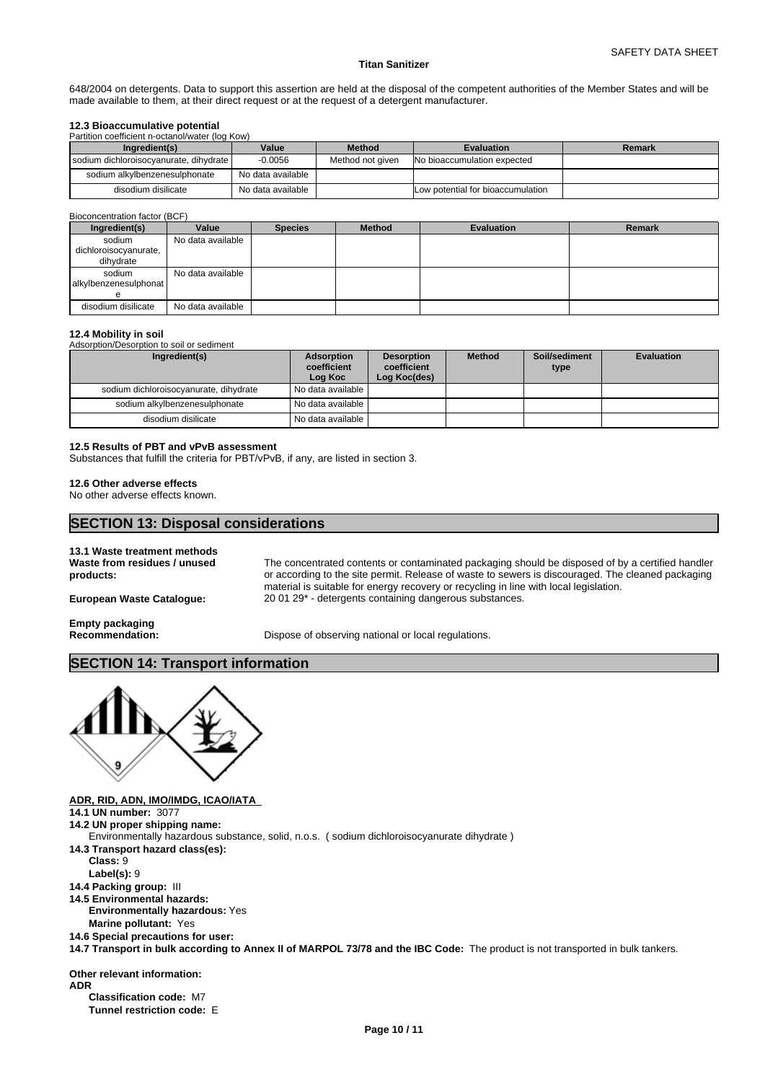648/2004 on detergents. Data to support this assertion are held at the disposal of the competent authorities of the Member States and will be made available to them, at their direct request or at the request of a detergent manufacturer.

# **12.3 Bioaccumulative potential**

| Partition coefficient n-octanol/water (log Kow) |                                        |                   |                  |                                   |        |  |
|-------------------------------------------------|----------------------------------------|-------------------|------------------|-----------------------------------|--------|--|
|                                                 | Ingredient(s)                          | Value             | <b>Method</b>    | <b>Evaluation</b>                 | Remark |  |
|                                                 | sodium dichloroisocvanurate, dihydrate | $-0.0056$         | Method not given | No bioaccumulation expected       |        |  |
|                                                 | sodium alkylbenzenesulphonate          | No data available |                  |                                   |        |  |
|                                                 | disodium disilicate                    | No data available |                  | Low potential for bioaccumulation |        |  |

#### Bioconcentration factor (BCF)

| Ingredient(s)                                | Value             | <b>Species</b> | <b>Method</b> | <b>Evaluation</b> | <b>Remark</b> |
|----------------------------------------------|-------------------|----------------|---------------|-------------------|---------------|
| sodium<br>dichloroisocyanurate,<br>dihydrate | No data available |                |               |                   |               |
| sodium<br>alkylbenzenesulphonat              | No data available |                |               |                   |               |
| disodium disilicate                          | No data available |                |               |                   |               |

## **12.4 Mobility in soil**

Adsorption/Desorption to soil or sediment

| Ingredient(s)                          | Adsorption<br>coefficient<br>Log Koc | <b>Desorption</b><br>coefficient<br>Log Koc(des) | <b>Method</b> | Soil/sediment<br>type | <b>Evaluation</b> |
|----------------------------------------|--------------------------------------|--------------------------------------------------|---------------|-----------------------|-------------------|
| sodium dichloroisocyanurate, dihydrate | I No data available I                |                                                  |               |                       |                   |
| sodium alkylbenzenesulphonate          | No data available                    |                                                  |               |                       |                   |
| disodium disilicate                    | No data available                    |                                                  |               |                       |                   |

# **12.5 Results of PBT and vPvB assessment**

Substances that fulfill the criteria for PBT/vPvB, if any, are listed in section 3.

## **12.6 Other adverse effects**

No other adverse effects known.

# **SECTION 13: Disposal considerations**

#### **13.1 Waste treatment methods Waste from residues / unused products:** The concentrated contents or contaminated packaging should be disposed of by a certified handler or according to the site permit. Release of waste to sewers is discouraged. The cleaned packaging material is suitable for energy recovery or recycling in line with local legislation. **European Waste Catalogue:** 20 01 29\* - detergents containing dangerous substances. **Empty packaging Recommendation:** Dispose of observing national or local regulations.

# **SECTION 14: Transport information**



**ADR, RID, ADN, IMO/IMDG, ICAO/IATA** 

- **14.1 UN number:** 3077
- **14.2 UN proper shipping name:**

Environmentally hazardous substance, solid, n.o.s. ( sodium dichloroisocyanurate dihydrate )

- **14.3 Transport hazard class(es):**
	- **Class:** 9
	- **Label(s):** 9
- **14.4 Packing group:** III
- **14.5 Environmental hazards: Environmentally hazardous:** Yes
	- **Marine pollutant:** Yes
- **14.6 Special precautions for user:**

**14.7 Transport in bulk according to Annex II of MARPOL 73/78 and the IBC Code:** The product is not transported in bulk tankers.

**Other relevant information: ADR Classification code:** M7

**Tunnel restriction code:** E